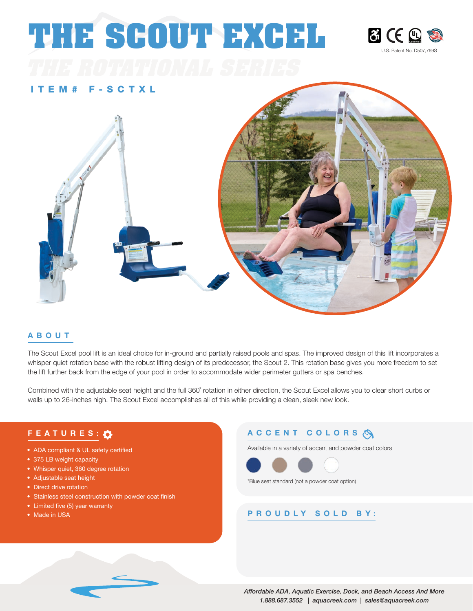# **THE SCOUT EXCEL**



#### ITEM# F-SCTXL



#### ABOUT

The Scout Excel pool lift is an ideal choice for in-ground and partially raised pools and spas. The improved design of this lift incorporates a whisper quiet rotation base with the robust lifting design of its predecessor, the Scout 2. This rotation base gives you more freedom to set the lift further back from the edge of your pool in order to accommodate wider perimeter gutters or spa benches.

Combined with the adjustable seat height and the full 360˚ rotation in either direction, the Scout Excel allows you to clear short curbs or walls up to 26-inches high. The Scout Excel accomplishes all of this while providing a clean, sleek new look.

- ADA compliant & UL safety certified
- 375 LB weight capacity
- Whisper quiet, 360 degree rotation
- Adjustable seat height
- Direct drive rotation
- Stainless steel construction with powder coat finish
- Limited five (5) year warranty
- Made in USA

#### FEATURES:  $\bullet$  ACCENT COLORS  $\bullet$

Available in a variety of accent and powder coat colors



\*Blue seat standard (not a powder coat option)

#### PROUDLY SOLD BY: